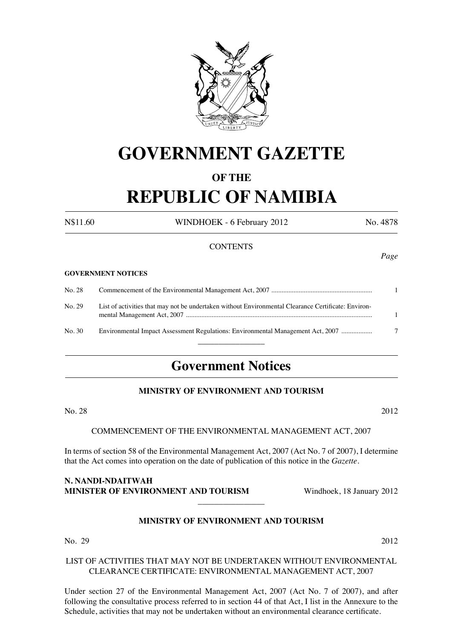

# **GOVERNMENT GAZETTE**

# **OF THE**

# **REPUBLIC OF NAMIBIA**

N\$11.60 WINDHOEK - 6 February 2012 No. 4878

# **CONTENTS**

#### **Government NOTICES**

No. 28 Commencement of the Environmental Management Act, 2007 ........................................................... 1 No. 29 List of activities that may not be undertaken without Environmental Clearance Certificate: Environmental Management Act, 2007 ............................................................................................................. 1 No. 30 Environmental Impact Assessment Regulations: Environmental Management Act, 2007 .................. 7  $\overline{\phantom{a}}$  , where  $\overline{\phantom{a}}$ 

# **Government Notices**

#### **MINISTRY OF ENVIRONMENT AND TOURISM**

No. 28 2012

COMMENCEMENT OF THE ENVIRONMENTAL MANAGEMENT ACT, 2007

In terms of section 58 of the Environmental Management Act, 2007 (Act No. 7 of 2007), I determine that the Act comes into operation on the date of publication of this notice in the *Gazette*.

**N. Nandi-Ndaitwah Minister of Environment and Tourism** Windhoek, 18 January 2012

# **MINISTRY OF ENVIRONMENT AND TOURISM**

 $\overline{\phantom{a}}$  , where  $\overline{\phantom{a}}$ 

No. 29 2012

# LIST OF ACTIVITIES THAT MAY NOT BE UNDERTAKEN WITHOUT ENVIRONMENTAL CLEARANCE CERTIFICATE: ENVIRONMENTAL MANAGEMENT ACT, 2007

Under section 27 of the Environmental Management Act, 2007 (Act No. 7 of 2007), and after following the consultative process referred to in section 44 of that Act, I list in the Annexure to the Schedule, activities that may not be undertaken without an environmental clearance certificate.

*Page*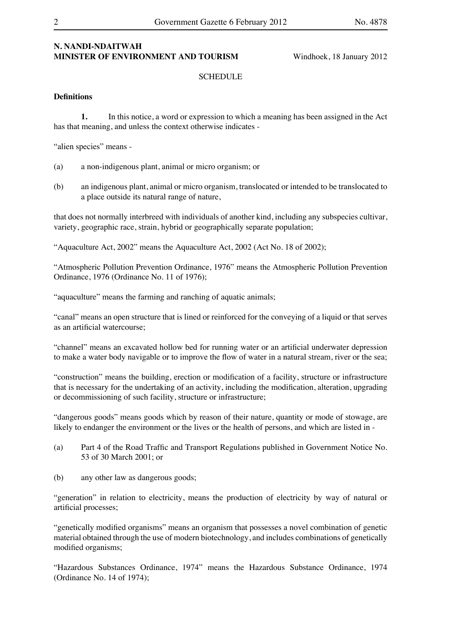### **N. Nandi-Ndaitwah Minister of Environment and Tourism** Windhoek, 18 January 2012

#### **SCHEDULE**

#### **Definitions**

**1.** In this notice, a word or expression to which a meaning has been assigned in the Act has that meaning, and unless the context otherwise indicates -

"alien species" means -

- (a) a non-indigenous plant, animal or micro organism; or
- (b) an indigenous plant, animal or micro organism, translocated or intended to be translocated to a place outside its natural range of nature,

that does not normally interbreed with individuals of another kind, including any subspecies cultivar, variety, geographic race, strain, hybrid or geographically separate population;

"Aquaculture Act, 2002" means the Aquaculture Act, 2002 (Act No. 18 of 2002);

"Atmospheric Pollution Prevention Ordinance, 1976" means the Atmospheric Pollution Prevention Ordinance, 1976 (Ordinance No. 11 of 1976);

"aquaculture" means the farming and ranching of aquatic animals;

"canal" means an open structure that is lined or reinforced for the conveying of a liquid or that serves as an artificial watercourse;

"channel" means an excavated hollow bed for running water or an artificial underwater depression to make a water body navigable or to improve the flow of water in a natural stream, river or the sea;

"construction" means the building, erection or modification of a facility, structure or infrastructure that is necessary for the undertaking of an activity, including the modification, alteration, upgrading or decommissioning of such facility, structure or infrastructure;

"dangerous goods" means goods which by reason of their nature, quantity or mode of stowage, are likely to endanger the environment or the lives or the health of persons, and which are listed in -

- (a) Part 4 of the Road Traffic and Transport Regulations published in Government Notice No. 53 of 30 March 2001; or
- (b) any other law as dangerous goods;

"generation" in relation to electricity, means the production of electricity by way of natural or artificial processes;

"genetically modified organisms" means an organism that possesses a novel combination of genetic material obtained through the use of modern biotechnology, and includes combinations of genetically modified organisms;

"Hazardous Substances Ordinance, 1974" means the Hazardous Substance Ordinance, 1974 (Ordinance No. 14 of 1974);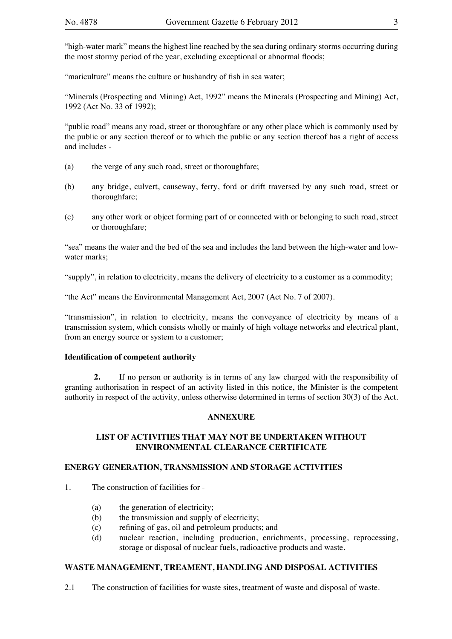"high-water mark" means the highest line reached by the sea during ordinary storms occurring during the most stormy period of the year, excluding exceptional or abnormal floods;

"mariculture" means the culture or husbandry of fish in sea water;

"Minerals (Prospecting and Mining) Act, 1992" means the Minerals (Prospecting and Mining) Act, 1992 (Act No. 33 of 1992);

"public road" means any road, street or thoroughfare or any other place which is commonly used by the public or any section thereof or to which the public or any section thereof has a right of access and includes -

- (a) the verge of any such road, street or thoroughfare;
- (b) any bridge, culvert, causeway, ferry, ford or drift traversed by any such road, street or thoroughfare;
- (c) any other work or object forming part of or connected with or belonging to such road, street or thoroughfare;

"sea" means the water and the bed of the sea and includes the land between the high-water and lowwater marks;

"supply", in relation to electricity, means the delivery of electricity to a customer as a commodity;

"the Act" means the Environmental Management Act, 2007 (Act No. 7 of 2007).

"transmission", in relation to electricity, means the conveyance of electricity by means of a transmission system, which consists wholly or mainly of high voltage networks and electrical plant, from an energy source or system to a customer;

#### **Identification of competent authority**

**2.** If no person or authority is in terms of any law charged with the responsibility of granting authorisation in respect of an activity listed in this notice, the Minister is the competent authority in respect of the activity, unless otherwise determined in terms of section 30(3) of the Act.

#### **ANNEXURE**

# **LIST OF ACTIVITIES THAT MAY NOT BE UNDERTAKEN WITHOUT ENVIRONMENTAL CLEARANCE CERTIFICATE**

#### **ENERGY GENERATION, TRANSMISSION AND STORAGE ACTIVITIES**

1. The construction of facilities for -

- (a) the generation of electricity;
- (b) the transmission and supply of electricity;
- (c) refining of gas, oil and petroleum products; and
- (d) nuclear reaction, including production, enrichments, processing, reprocessing, storage or disposal of nuclear fuels, radioactive products and waste.

#### **WASTE MANAGEMENT, TREAMENT, HANDLING AND DISPOSAL ACTIVITIES**

2.1 The construction of facilities for waste sites, treatment of waste and disposal of waste.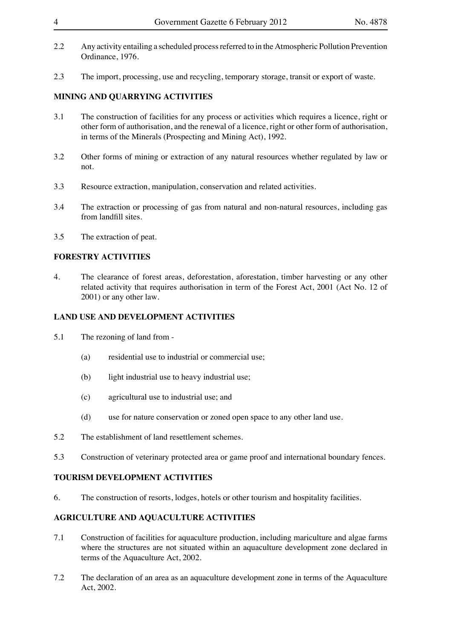- 2.2 Any activity entailing a scheduled process referred to in the Atmospheric Pollution Prevention Ordinance, 1976.
- 2.3 The import, processing, use and recycling, temporary storage, transit or export of waste.

# **MINING AND QUARRYING ACTIVITIES**

- 3.1 The construction of facilities for any process or activities which requires a licence, right or other form of authorisation, and the renewal of a licence, right or other form of authorisation, in terms of the Minerals (Prospecting and Mining Act), 1992.
- 3.2 Other forms of mining or extraction of any natural resources whether regulated by law or not.
- 3.3 Resource extraction, manipulation, conservation and related activities.
- 3.4 The extraction or processing of gas from natural and non-natural resources, including gas from landfill sites.
- 3.5 The extraction of peat.

# **FORESTRY ACTIVITIES**

4. The clearance of forest areas, deforestation, aforestation, timber harvesting or any other related activity that requires authorisation in term of the Forest Act, 2001 (Act No. 12 of 2001) or any other law.

# **LAND USE AND DEVELOPMENT ACTIVITIES**

- 5.1 The rezoning of land from
	- (a) residential use to industrial or commercial use;
	- (b) light industrial use to heavy industrial use;
	- (c) agricultural use to industrial use; and
	- (d) use for nature conservation or zoned open space to any other land use.
- 5.2 The establishment of land resettlement schemes.
- 5.3 Construction of veterinary protected area or game proof and international boundary fences.

# **TOURISM DEVELOPMENT ACTIVITIES**

6. The construction of resorts, lodges, hotels or other tourism and hospitality facilities.

# **AGRICULTURE AND AQUACULTURE ACTIVITIES**

- 7.1 Construction of facilities for aquaculture production, including mariculture and algae farms where the structures are not situated within an aquaculture development zone declared in terms of the Aquaculture Act, 2002.
- 7.2 The declaration of an area as an aquaculture development zone in terms of the Aquaculture Act, 2002.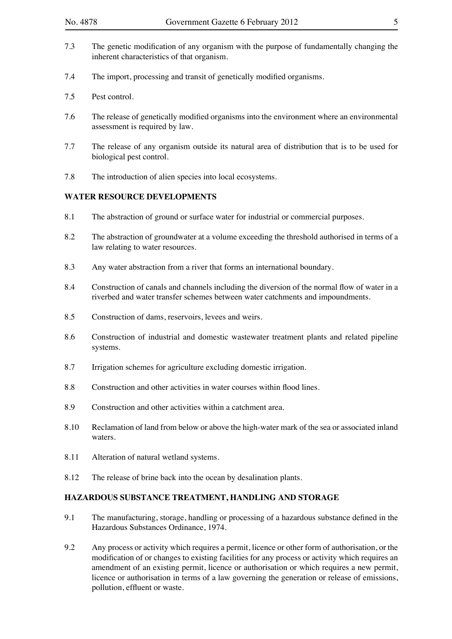- 7.3 The genetic modification of any organism with the purpose of fundamentally changing the inherent characteristics of that organism.
- 7.4 The import, processing and transit of genetically modified organisms.
- 7.5 Pest control.
- 7.6 The release of genetically modified organisms into the environment where an environmental assessment is required by law.
- 7.7 The release of any organism outside its natural area of distribution that is to be used for biological pest control.
- 7.8 The introduction of alien species into local ecosystems.

# **WATER RESOURCE DEVELOPMENTS**

- 8.1 The abstraction of ground or surface water for industrial or commercial purposes.
- 8.2 The abstraction of groundwater at a volume exceeding the threshold authorised in terms of a law relating to water resources.
- 8.3 Any water abstraction from a river that forms an international boundary.
- 8.4 Construction of canals and channels including the diversion of the normal flow of water in a riverbed and water transfer schemes between water catchments and impoundments.
- 8.5 Construction of dams, reservoirs, levees and weirs.
- 8.6 Construction of industrial and domestic wastewater treatment plants and related pipeline systems.
- 8.7 Irrigation schemes for agriculture excluding domestic irrigation.
- 8.8 Construction and other activities in water courses within flood lines.
- 8.9 Construction and other activities within a catchment area.
- 8.10 Reclamation of land from below or above the high-water mark of the sea or associated inland waters.
- 8.11 Alteration of natural wetland systems.
- 8.12 The release of brine back into the ocean by desalination plants.

#### **HAZARDOUS SUBSTANCE TREATMENT, HANDLING AND STORAGE**

- 9.1 The manufacturing, storage, handling or processing of a hazardous substance defined in the Hazardous Substances Ordinance, 1974.
- 9.2 Any process or activity which requires a permit, licence or other form of authorisation, or the modification of or changes to existing facilities for any process or activity which requires an amendment of an existing permit, licence or authorisation or which requires a new permit, licence or authorisation in terms of a law governing the generation or release of emissions, pollution, effluent or waste.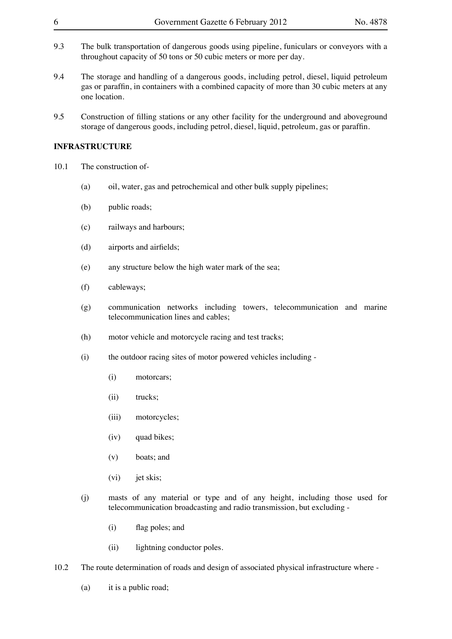- 9.3 The bulk transportation of dangerous goods using pipeline, funiculars or conveyors with a throughout capacity of 50 tons or 50 cubic meters or more per day.
- 9.4 The storage and handling of a dangerous goods, including petrol, diesel, liquid petroleum gas or paraffin, in containers with a combined capacity of more than 30 cubic meters at any one location.
- 9.5 Construction of filling stations or any other facility for the underground and aboveground storage of dangerous goods, including petrol, diesel, liquid, petroleum, gas or paraffin.

#### **INFRASTRUCTURE**

- 10.1 The construction of-
	- (a) oil, water, gas and petrochemical and other bulk supply pipelines;
	- (b) public roads;
	- (c) railways and harbours;
	- (d) airports and airfields;
	- (e) any structure below the high water mark of the sea;
	- (f) cableways;
	- (g) communication networks including towers, telecommunication and marine telecommunication lines and cables;
	- (h) motor vehicle and motorcycle racing and test tracks;
	- (i) the outdoor racing sites of motor powered vehicles including -
		- (i) motorcars;
		- (ii) trucks;
		- (iii) motorcycles;
		- (iv) quad bikes;
		- (v) boats; and
		- (vi) jet skis;
	- (j) masts of any material or type and of any height, including those used for telecommunication broadcasting and radio transmission, but excluding -
		- (i) flag poles; and
		- (ii) lightning conductor poles.
- 10.2 The route determination of roads and design of associated physical infrastructure where
	- (a) it is a public road;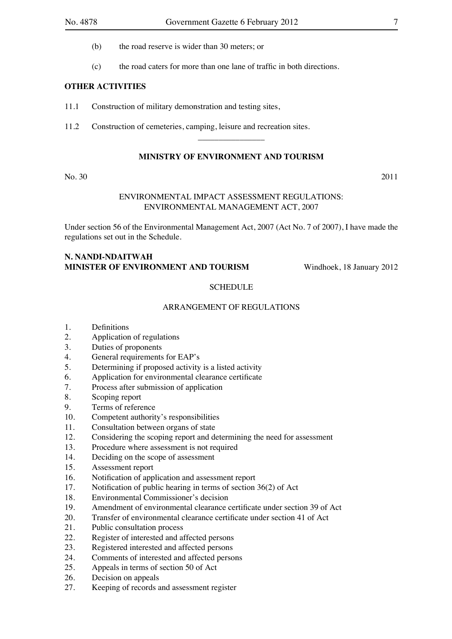- (b) the road reserve is wider than 30 meters; or
- (c) the road caters for more than one lane of traffic in both directions.

#### **OTHER ACTIVITIES**

- 11.1 Construction of military demonstration and testing sites,
- 11.2 Construction of cemeteries, camping, leisure and recreation sites.

#### **MINISTRY OF ENVIRONMENT AND TOURISM**

 $\overline{\phantom{a}}$  , where  $\overline{\phantom{a}}$ 

#### No. 30 2011

#### ENVIRONMENTAL IMPACT ASSESSMENT REGULATIONS: ENVIRONMENTAL MANAGEMENT ACT, 2007

Under section 56 of the Environmental Management Act, 2007 (Act No. 7 of 2007), I have made the regulations set out in the Schedule.

# **N. Nandi-Ndaitwah Minister of Environment and Tourism** Windhoek, 18 January 2012

#### **SCHEDULE**

#### ARRANGEMENT OF REGULATIONS

- 1. Definitions
- 2. Application of regulations
- 3. Duties of proponents
- 4. General requirements for EAP's
- 5. Determining if proposed activity is a listed activity
- 6. Application for environmental clearance certificate
- 7. Process after submission of application
- 8. Scoping report
- 9. Terms of reference
- 10. Competent authority's responsibilities
- 11. Consultation between organs of state
- 12. Considering the scoping report and determining the need for assessment
- 13. Procedure where assessment is not required
- 14. Deciding on the scope of assessment
- 15. Assessment report
- 16. Notification of application and assessment report
- 17. Notification of public hearing in terms of section 36(2) of Act
- 18. Environmental Commissioner's decision
- 19. Amendment of environmental clearance certificate under section 39 of Act
- 20. Transfer of environmental clearance certificate under section 41 of Act
- 21. Public consultation process
- 22. Register of interested and affected persons
- 23. Registered interested and affected persons
- 24. Comments of interested and affected persons
- 25. Appeals in terms of section 50 of Act
- 26. Decision on appeals
- 27. Keeping of records and assessment register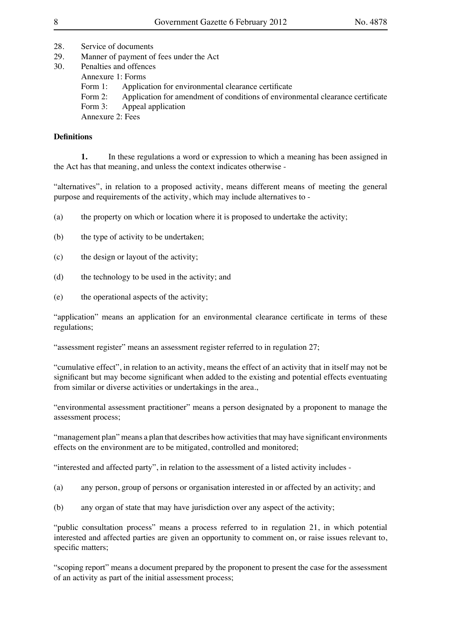- 28. Service of documents
- 29. Manner of payment of fees under the Act
- 30. Penalties and offences Annexure 1: Forms Form 1: Application for environmental clearance certificate Form 2: Application for amendment of conditions of environmental clearance certificate Form 3: Appeal application Annexure 2: Fees

# **Definitions**

**1.** In these regulations a word or expression to which a meaning has been assigned in the Act has that meaning, and unless the context indicates otherwise -

"alternatives", in relation to a proposed activity, means different means of meeting the general purpose and requirements of the activity, which may include alternatives to -

- (a) the property on which or location where it is proposed to undertake the activity;
- (b) the type of activity to be undertaken;
- (c) the design or layout of the activity;
- (d) the technology to be used in the activity; and
- (e) the operational aspects of the activity;

"application" means an application for an environmental clearance certificate in terms of these regulations;

"assessment register" means an assessment register referred to in regulation 27;

"cumulative effect", in relation to an activity, means the effect of an activity that in itself may not be significant but may become significant when added to the existing and potential effects eventuating from similar or diverse activities or undertakings in the area.,

"environmental assessment practitioner" means a person designated by a proponent to manage the assessment process;

"management plan" means a plan that describes how activities that may have significant environments effects on the environment are to be mitigated, controlled and monitored;

"interested and affected party", in relation to the assessment of a listed activity includes -

- (a) any person, group of persons or organisation interested in or affected by an activity; and
- (b) any organ of state that may have jurisdiction over any aspect of the activity;

"public consultation process" means a process referred to in regulation 21, in which potential interested and affected parties are given an opportunity to comment on, or raise issues relevant to, specific matters;

"scoping report" means a document prepared by the proponent to present the case for the assessment of an activity as part of the initial assessment process;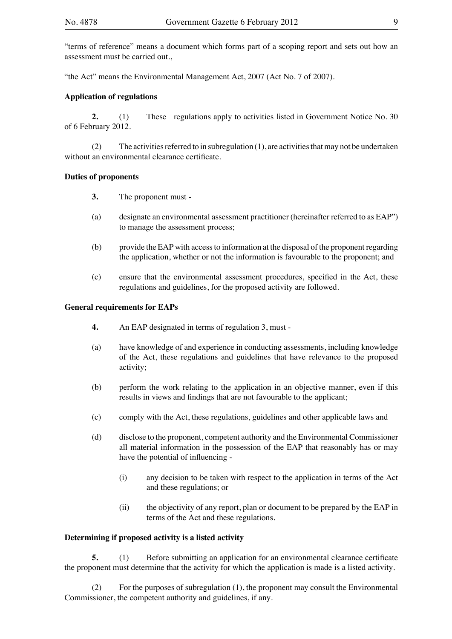"terms of reference" means a document which forms part of a scoping report and sets out how an assessment must be carried out.,

"the Act" means the Environmental Management Act, 2007 (Act No. 7 of 2007).

#### **Application of regulations**

**2.** (1) These regulations apply to activities listed in Government Notice No. 30 of 6 February 2012.

(2) The activities referred to in subregulation  $(1)$ , are activities that may not be undertaken without an environmental clearance certificate.

#### **Duties of proponents**

- **3.** The proponent must -
- (a) designate an environmental assessment practitioner (hereinafter referred to as EAP") to manage the assessment process;
- (b) provide the EAP with accessto information at the disposal of the proponent regarding the application, whether or not the information is favourable to the proponent; and
- (c) ensure that the environmental assessment procedures, specified in the Act, these regulations and guidelines, for the proposed activity are followed.

#### **General requirements for EAPs**

- **4.** An EAP designated in terms of regulation 3, must -
- (a) have knowledge of and experience in conducting assessments, including knowledge of the Act, these regulations and guidelines that have relevance to the proposed activity;
- (b) perform the work relating to the application in an objective manner, even if this results in views and findings that are not favourable to the applicant;
- (c) comply with the Act, these regulations, guidelines and other applicable laws and
- (d) disclose to the proponent, competent authority and the Environmental Commissioner all material information in the possession of the EAP that reasonably has or may have the potential of influencing -
	- (i) any decision to be taken with respect to the application in terms of the Act and these regulations; or
	- (ii) the objectivity of any report, plan or document to be prepared by the EAP in terms of the Act and these regulations.

#### **Determining if proposed activity is a listed activity**

**5.** (1) Before submitting an application for an environmental clearance certificate the proponent must determine that the activity for which the application is made is a listed activity.

 (2) For the purposes of subregulation (1), the proponent may consult the Environmental Commissioner, the competent authority and guidelines, if any.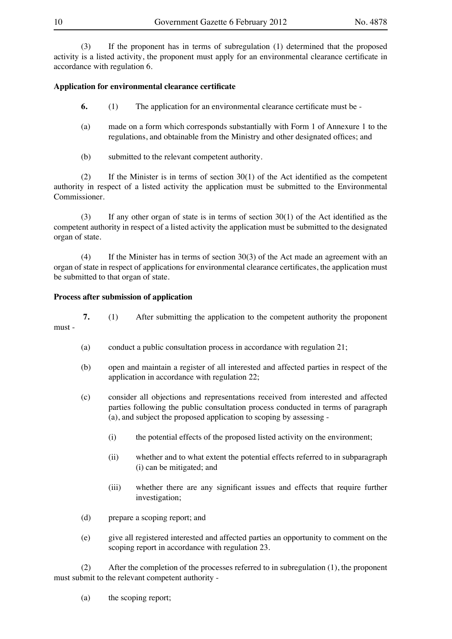(3) If the proponent has in terms of subregulation (1) determined that the proposed activity is a listed activity, the proponent must apply for an environmental clearance certificate in accordance with regulation 6.

#### **Application for environmental clearance certificate**

- **6.** (1) The application for an environmental clearance certificate must be -
- (a) made on a form which corresponds substantially with Form 1 of Annexure 1 to the regulations, and obtainable from the Ministry and other designated offices; and
- (b) submitted to the relevant competent authority.

(2) If the Minister is in terms of section  $30(1)$  of the Act identified as the competent authority in respect of a listed activity the application must be submitted to the Environmental Commissioner.

(3) If any other organ of state is in terms of section  $30(1)$  of the Act identified as the competent authority in respect of a listed activity the application must be submitted to the designated organ of state.

(4) If the Minister has in terms of section  $30(3)$  of the Act made an agreement with an organ of state in respect of applications for environmental clearance certificates, the application must be submitted to that organ of state.

#### **Process after submission of application**

**7.** (1) After submitting the application to the competent authority the proponent must -

- (a) conduct a public consultation process in accordance with regulation  $21$ ;
- (b) open and maintain a register of all interested and affected parties in respect of the application in accordance with regulation 22;
- (c) consider all objections and representations received from interested and affected parties following the public consultation process conducted in terms of paragraph (a), and subject the proposed application to scoping by assessing -
	- (i) the potential effects of the proposed listed activity on the environment;
	- (ii) whether and to what extent the potential effects referred to in subparagraph (i) can be mitigated; and
	- (iii) whether there are any significant issues and effects that require further investigation;
- (d) prepare a scoping report; and
- (e) give all registered interested and affected parties an opportunity to comment on the scoping report in accordance with regulation 23.

 (2) After the completion of the processes referred to in subregulation (1), the proponent must submit to the relevant competent authority -

 (a) the scoping report;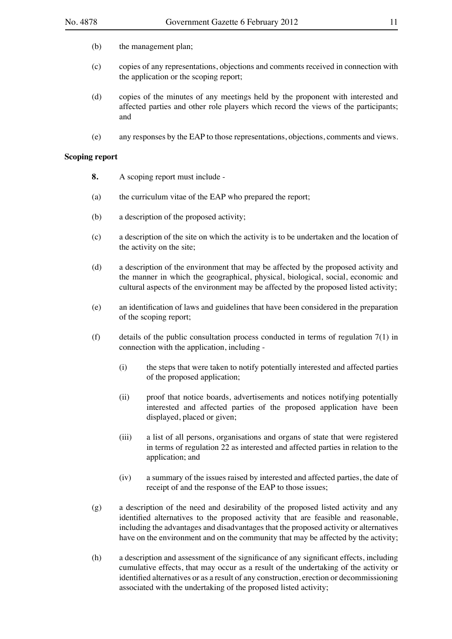- (b) the management plan;
- (c) copies of any representations, objections and comments received in connection with the application or the scoping report;
- (d) copies of the minutes of any meetings held by the proponent with interested and affected parties and other role players which record the views of the participants; and
- (e) any responses by the EAP to those representations, objections, comments and views.

#### **Scoping report**

- **8.** A scoping report must include -
- (a) the curriculum vitae of the EAP who prepared the report;
- (b) a description of the proposed activity;
- (c) a description of the site on which the activity is to be undertaken and the location of the activity on the site;
- (d) a description of the environment that may be affected by the proposed activity and the manner in which the geographical, physical, biological, social, economic and cultural aspects of the environment may be affected by the proposed listed activity;
- (e) an identification of laws and guidelines that have been considered in the preparation of the scoping report;
- (f) details of the public consultation process conducted in terms of regulation  $7(1)$  in connection with the application, including -
	- (i) the steps that were taken to notify potentially interested and affected parties of the proposed application;
	- (ii) proof that notice boards, advertisements and notices notifying potentially interested and affected parties of the proposed application have been displayed, placed or given;
	- (iii) a list of all persons, organisations and organs of state that were registered in terms of regulation 22 as interested and affected parties in relation to the application; and
	- (iv) a summary of the issues raised by interested and affected parties, the date of receipt of and the response of the EAP to those issues;
- (g) a description of the need and desirability of the proposed listed activity and any identified alternatives to the proposed activity that are feasible and reasonable, including the advantages and disadvantages that the proposed activity or alternatives have on the environment and on the community that may be affected by the activity;
- (h) a description and assessment of the significance of any significant effects, including cumulative effects, that may occur as a result of the undertaking of the activity or identified alternatives or as a result of any construction, erection or decommissioning associated with the undertaking of the proposed listed activity;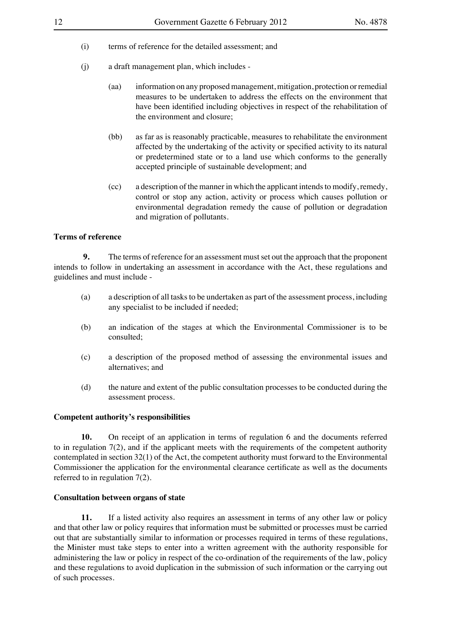- (i) terms of reference for the detailed assessment; and
- (j) a draft management plan, which includes
	- (aa) information on any proposedmanagement,mitigation, protection orremedial measures to be undertaken to address the effects on the environment that have been identified including objectives in respect of the rehabilitation of the environment and closure;
	- (bb) as far as is reasonably practicable, measures to rehabilitate the environment affected by the undertaking of the activity or specified activity to its natural or predetermined state or to a land use which conforms to the generally accepted principle of sustainable development; and
	- (cc) a description of the manner in which the applicant intends to modify, remedy, control or stop any action, activity or process which causes pollution or environmental degradation remedy the cause of pollution or degradation and migration of pollutants.

#### **Terms of reference**

**9.** The terms of reference for an assessment must set out the approach that the proponent intends to follow in undertaking an assessment in accordance with the Act, these regulations and guidelines and must include -

- (a) a description of all tasks to be undertaken as part of the assessment process, including any specialist to be included if needed;
- (b) an indication of the stages at which the Environmental Commissioner is to be consulted;
- (c) a description of the proposed method of assessing the environmental issues and alternatives; and
- (d) the nature and extent of the public consultation processes to be conducted during the assessment process.

#### **Competent authority's responsibilities**

**10.** On receipt of an application in terms of regulation 6 and the documents referred to in regulation 7(2), and if the applicant meets with the requirements of the competent authority contemplated in section 32(1) of the Act, the competent authority must forward to the Environmental Commissioner the application for the environmental clearance certificate as well as the documents referred to in regulation 7(2).

#### **Consultation between organs of state**

**11.** If a listed activity also requires an assessment in terms of any other law or policy and that other law or policy requires that information must be submitted or processes must be carried out that are substantially similar to information or processes required in terms of these regulations, the Minister must take steps to enter into a written agreement with the authority responsible for administering the law or policy in respect of the co-ordination of the requirements of the law, policy and these regulations to avoid duplication in the submission of such information or the carrying out of such processes.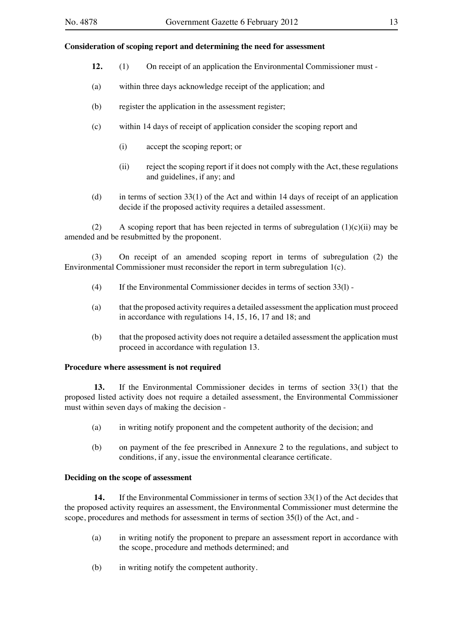#### **Consideration of scoping report and determining the need for assessment**

- **12.** (1) On receipt of an application the Environmental Commissioner must -
- (a) within three days acknowledge receipt of the application; and
- (b) register the application in the assessment register;
- (c) within 14 days of receipt of application consider the scoping report and
	- (i) accept the scoping report; or
	- (ii) reject the scoping report if it does not comply with the Act, these regulations and guidelines, if any; and
- (d) in terms of section  $33(1)$  of the Act and within 14 days of receipt of an application decide if the proposed activity requires a detailed assessment.

(2) A scoping report that has been rejected in terms of subregulation  $(1)(c)(ii)$  may be amended and be resubmitted by the proponent.

 (3) On receipt of an amended scoping report in terms of subregulation (2) the Environmental Commissioner must reconsider the report in term subregulation 1(c).

- (4) If the Environmental Commissioner decides in terms of section  $33(1)$  -
- (a) that the proposed activity requires a detailed assessment the application must proceed in accordance with regulations 14, 15, 16, 17 and 18; and
- (b) that the proposed activity does not require a detailed assessment the application must proceed in accordance with regulation 13.

#### **Procedure where assessment is not required**

 **13.**  If the Environmental Commissioner decides in terms of section 33(1) that the proposed listed activity does not require a detailed assessment, the Environmental Commissioner must within seven days of making the decision -

- (a) in writing notify proponent and the competent authority of the decision; and
- (b) on payment of the fee prescribed in Annexure 2 to the regulations, and subject to conditions, if any, issue the environmental clearance certificate.

#### **Deciding on the scope of assessment**

14. If the Environmental Commissioner in terms of section 33(1) of the Act decides that the proposed activity requires an assessment, the Environmental Commissioner must determine the scope, procedures and methods for assessment in terms of section 35(l) of the Act, and -

- (a) in writing notify the proponent to prepare an assessment report in accordance with the scope, procedure and methods determined; and
- (b) in writing notify the competent authority.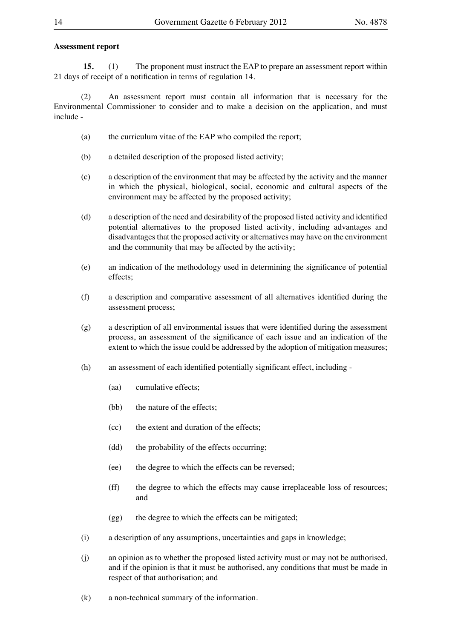#### **Assessment report**

**15.** (1) The proponent must instruct the EAP to prepare an assessment report within 21 days of receipt of a notification in terms of regulation 14.

 (2) An assessment report must contain all information that is necessary for the Environmental Commissioner to consider and to make a decision on the application, and must include -

- (a) the curriculum vitae of the EAP who compiled the report;
- (b) a detailed description of the proposed listed activity;
- (c) a description of the environment that may be affected by the activity and the manner in which the physical, biological, social, economic and cultural aspects of the environment may be affected by the proposed activity;
- (d) a description of the need and desirability of the proposed listed activity and identified potential alternatives to the proposed listed activity, including advantages and disadvantages that the proposed activity or alternatives may have on the environment and the community that may be affected by the activity;
- (e) an indication of the methodology used in determining the significance of potential effects;
- (f) a description and comparative assessment of all alternatives identified during the assessment process;
- (g) a description of all environmental issues that were identified during the assessment process, an assessment of the significance of each issue and an indication of the extent to which the issue could be addressed by the adoption of mitigation measures;
- (h) an assessment of each identified potentially significant effect, including -
	- (aa) cumulative effects;
	- (bb) the nature of the effects;
	- (cc) the extent and duration of the effects;
	- (dd) the probability of the effects occurring;
	- (ee) the degree to which the effects can be reversed;
	- (ff) the degree to which the effects may cause irreplaceable loss of resources; and
	- (gg) the degree to which the effects can be mitigated;
- (i) a description of any assumptions, uncertainties and gaps in knowledge;

 (j) an opinion as to whether the proposed listed activity must or may not be authorised, and if the opinion is that it must be authorised, any conditions that must be made in respect of that authorisation; and

 (k) a non-technical summary of the information.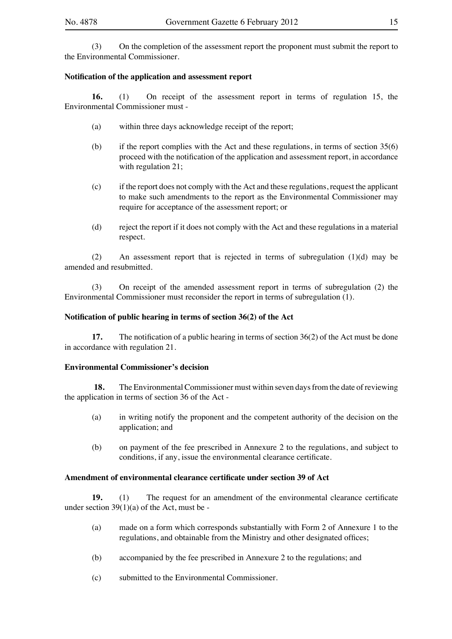(3) On the completion of the assessment report the proponent must submit the report to the Environmental Commissioner.

#### **Notification of the application and assessment report**

**16.** (1) On receipt of the assessment report in terms of regulation 15, the Environmental Commissioner must -

- (a) within three days acknowledge receipt of the report;
- (b) if the report complies with the Act and these regulations, in terms of section  $35(6)$ proceed with the notification of the application and assessment report, in accordance with regulation 21;
- (c) if the report does not comply with the Act and these regulations, request the applicant to make such amendments to the report as the Environmental Commissioner may require for acceptance of the assessment report; or
- (d) reject the report if it does not comply with the Act and these regulations in a material respect.

(2) An assessment report that is rejected in terms of subregulation  $(1)(d)$  may be amended and resubmitted.

 (3) On receipt of the amended assessment report in terms of subregulation (2) the Environmental Commissioner must reconsider the report in terms of subregulation (1).

#### **Notification of public hearing in terms of section 36(2) of the Act**

**17.** The notification of a public hearing in terms of section 36(2) of the Act must be done in accordance with regulation 21.

#### **Environmental Commissioner's decision**

**18.** The Environmental Commissioner must within seven days from the date of reviewing the application in terms of section 36 of the Act -

- (a) in writing notify the proponent and the competent authority of the decision on the application; and
- (b) on payment of the fee prescribed in Annexure 2 to the regulations, and subject to conditions, if any, issue the environmental clearance certificate.

#### **Amendment of environmental clearance certificate under section 39 of Act**

**19.** (1) The request for an amendment of the environmental clearance certificate under section 39(1)(a) of the Act, must be -

- (a) made on a form which corresponds substantially with Form 2 of Annexure 1 to the regulations, and obtainable from the Ministry and other designated offices;
- (b) accompanied by the fee prescribed in Annexure 2 to the regulations; and
- (c) submitted to the Environmental Commissioner.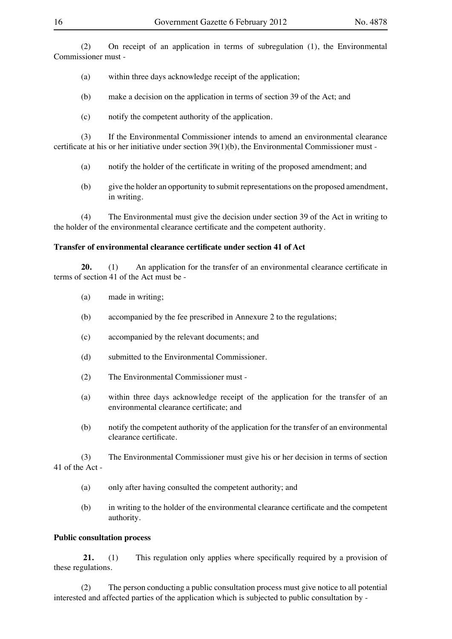(2) On receipt of an application in terms of subregulation (1), the Environmental Commissioner must -

(a) within three days acknowledge receipt of the application;

 (b) make a decision on the application in terms of section 39 of the Act; and

 (c) notify the competent authority of the application.

 (3) If the Environmental Commissioner intends to amend an environmental clearance certificate at his or her initiative under section 39(1)(b), the Environmental Commissioner must -

- (a) notify the holder of the certificate in writing of the proposed amendment; and
- (b) give the holder an opportunity to submit representations on the proposed amendment, in writing.

 (4) The Environmental must give the decision under section 39 of the Act in writing to the holder of the environmental clearance certificate and the competent authority.

#### **Transfer of environmental clearance certificate under section 41 of Act**

**20.** (1) An application for the transfer of an environmental clearance certificate in terms of section 41 of the Act must be -

- (a) made in writing;
- (b) accompanied by the fee prescribed in Annexure 2 to the regulations;
- (c) accompanied by the relevant documents; and
- (d) submitted to the Environmental Commissioner.
- (2) The Environmental Commissioner must -
- (a) within three days acknowledge receipt of the application for the transfer of an environmental clearance certificate; and
- (b) notify the competent authority of the application for the transfer of an environmental clearance certificate.

 (3) The Environmental Commissioner must give his or her decision in terms of section 41 of the Act -

- (a) only after having consulted the competent authority; and
- (b) in writing to the holder of the environmental clearance certificate and the competent authority.

#### **Public consultation process**

**21.** (1) This regulation only applies where specifically required by a provision of these regulations.

 (2) The person conducting a public consultation process must give notice to all potential interested and affected parties of the application which is subjected to public consultation by -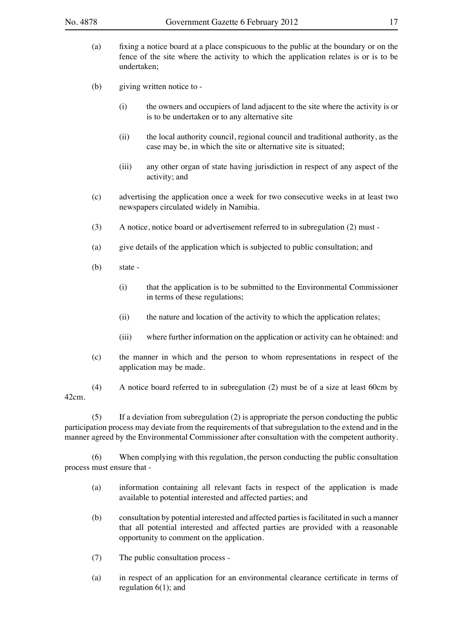- (a) fixing a notice board at a place conspicuous to the public at the boundary or on the fence of the site where the activity to which the application relates is or is to be undertaken;
- (b) giving written notice to -
	- (i) the owners and occupiers of land adjacent to the site where the activity is or is to be undertaken or to any alternative site
	- (ii) the local authority council, regional council and traditional authority, as the case may be, in which the site or alternative site is situated;
	- (iii) any other organ of state having jurisdiction in respect of any aspect of the activity; and
- (c) advertising the application once a week for two consecutive weeks in at least two newspapers circulated widely in Namibia.
- (3) A notice, notice board or advertisement referred to in subregulation (2) must -
- (a) give details of the application which is subjected to public consultation; and
- $(b)$  state -
	- (i) that the application is to be submitted to the Environmental Commissioner in terms of these regulations;
	- (ii) the nature and location of the activity to which the application relates;
	- (iii) where further information on the application or activity can he obtained: and
- (c) the manner in which and the person to whom representations in respect of the application may be made.

 (4) A notice board referred to in subregulation (2) must be of a size at least 60cm by 42cm.

(5) If a deviation from subregulation (2) is appropriate the person conducting the public participation process may deviate from the requirements of that subregulation to the extend and in the manner agreed by the Environmental Commissioner after consultation with the competent authority.

(6) When complying with this regulation, the person conducting the public consultation process must ensure that -

- (a) information containing all relevant facts in respect of the application is made available to potential interested and affected parties; and
- (b) consultation by potential interested and affected partiesisfacilitated in such a manner that all potential interested and affected parties are provided with a reasonable opportunity to comment on the application.
- (7) The public consultation process -
- (a) in respect of an application for an environmental clearance certificate in terms of regulation 6(1); and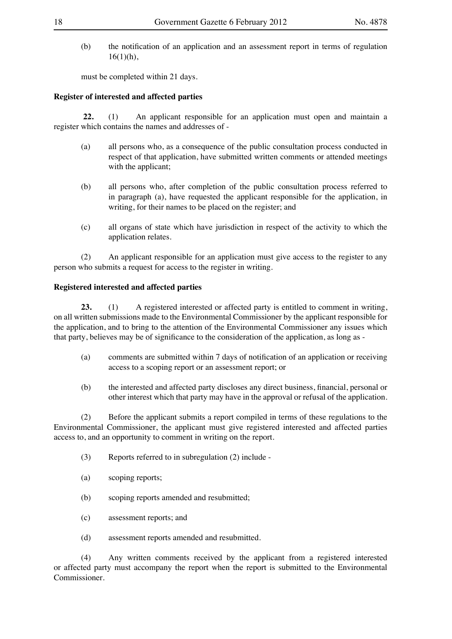(b) the notification of an application and an assessment report in terms of regulation  $16(1)(h)$ ,

must be completed within 21 days.

#### **Register of interested and affected parties**

**22.** (1) An applicant responsible for an application must open and maintain a register which contains the names and addresses of -

- (a) all persons who, as a consequence of the public consultation process conducted in respect of that application, have submitted written comments or attended meetings with the applicant;
- (b) all persons who, after completion of the public consultation process referred to in paragraph (a), have requested the applicant responsible for the application, in writing, for their names to be placed on the register; and
- (c) all organs of state which have jurisdiction in respect of the activity to which the application relates.

 (2) An applicant responsible for an application must give access to the register to any person who submits a request for access to the register in writing.

#### **Registered interested and affected parties**

**23.** (1) A registered interested or affected party is entitled to comment in writing, on all written submissions made to the Environmental Commissioner by the applicant responsible for the application, and to bring to the attention of the Environmental Commissioner any issues which that party, believes may be of significance to the consideration of the application, as long as -

- (a) comments are submitted within 7 days of notification of an application or receiving access to a scoping report or an assessment report; or
- (b) the interested and affected party discloses any direct business, financial, personal or other interest which that party may have in the approval or refusal of the application.

(2) Before the applicant submits a report compiled in terms of these regulations to the Environmental Commissioner, the applicant must give registered interested and affected parties access to, and an opportunity to comment in writing on the report.

- $(3)$  Reports referred to in subregulation  $(2)$  include -
- (a) scoping reports;
- (b) scoping reports amended and resubmitted;
- (c) assessment reports; and
- (d) assessment reports amended and resubmitted.

 (4) Any written comments received by the applicant from a registered interested or affected party must accompany the report when the report is submitted to the Environmental Commissioner.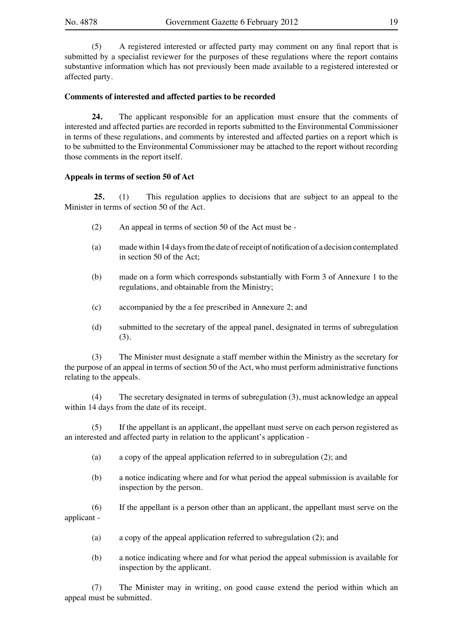(5) A registered interested or affected party may comment on any final report that is submitted by a specialist reviewer for the purposes of these regulations where the report contains substantive information which has not previously been made available to a registered interested or affected party.

#### **Comments of interested and affected parties to be recorded**

**24.** The applicant responsible for an application must ensure that the comments of interested and affected parties are recorded in reports submitted to the Environmental Commissioner in terms of these regulations, and comments by interested and affected parties on a report which is to be submitted to the Environmental Commissioner may be attached to the report without recording those comments in the report itself.

#### **Appeals in terms of section 50 of Act**

**25.** (1) This regulation applies to decisions that are subject to an appeal to the Minister in terms of section 50 of the Act.

- (2) An appeal in terms of section 50 of the Act must be -
- (a) made within 14 daysfromthe date ofreceipt of notification of a decision contemplated in section 50 of the Act;
- (b) made on a form which corresponds substantially with Form 3 of Annexure 1 to the regulations, and obtainable from the Ministry;
- (c) accompanied by the a fee prescribed in Annexure 2; and
- (d) submitted to the secretary of the appeal panel, designated in terms of subregulation (3).

(3) The Minister must designate a staff member within the Ministry as the secretary for the purpose of an appeal in terms of section 50 of the Act, who must perform administrative functions relating to the appeals.

 (4) The secretary designated in terms of subregulation (3), must acknowledge an appeal within 14 days from the date of its receipt.

(5) If the appellant is an applicant, the appellant must serve on each person registered as an interested and affected party in relation to the applicant's application -

- (a) a copy of the appeal application referred to in subregulation (2); and
- (b) a notice indicating where and for what period the appeal submission is available for inspection by the person.

 (6) If the appellant is a person other than an applicant, the appellant must serve on the applicant -

- (a) a copy of the appeal application referred to subregulation (2); and
- (b) a notice indicating where and for what period the appeal submission is available for inspection by the applicant.

 (7) The Minister may in writing, on good cause extend the period within which an appeal must be submitted.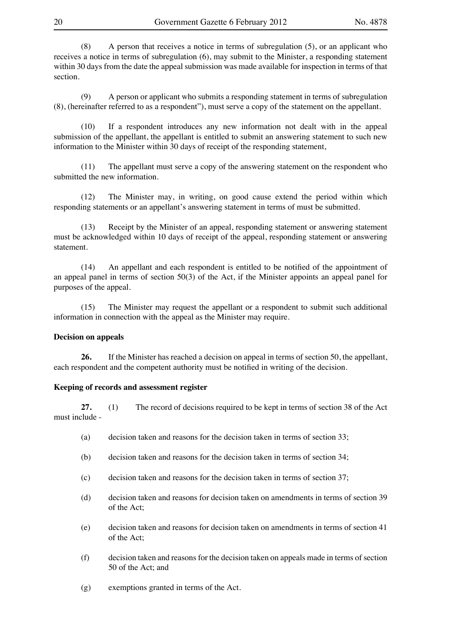(8) A person that receives a notice in terms of subregulation (5), or an applicant who receives a notice in terms of subregulation (6), may submit to the Minister, a responding statement within 30 days from the date the appeal submission was made available for inspection in terms of that section.

(9) A person or applicant who submits a responding statement in terms of subregulation (8), (hereinafter referred to as a respondent"), must serve a copy of the statement on the appellant.

 (10) If a respondent introduces any new information not dealt with in the appeal submission of the appellant, the appellant is entitled to submit an answering statement to such new information to the Minister within 30 days of receipt of the responding statement,

 (11) The appellant must serve a copy of the answering statement on the respondent who submitted the new information.

 (12) The Minister may, in writing, on good cause extend the period within which responding statements or an appellant's answering statement in terms of must be submitted.

 (13) Receipt by the Minister of an appeal, responding statement or answering statement must be acknowledged within 10 days of receipt of the appeal, responding statement or answering statement.

(14) An appellant and each respondent is entitled to be notified of the appointment of an appeal panel in terms of section 50(3) of the Act, if the Minister appoints an appeal panel for purposes of the appeal.

 (15) The Minister may request the appellant or a respondent to submit such additional information in connection with the appeal as the Minister may require.

#### **Decision on appeals**

26. If the Minister has reached a decision on appeal in terms of section 50, the appellant, each respondent and the competent authority must be notified in writing of the decision.

#### **Keeping of records and assessment register**

27. (1) The record of decisions required to be kept in terms of section 38 of the Act must include -

- (a) decision taken and reasons for the decision taken in terms of section  $33$ :
- (b) decision taken and reasons for the decision taken in terms of section 34;
- (c) decision taken and reasons for the decision taken in terms of section  $37$ ;
- (d) decision taken and reasons for decision taken on amendments in terms of section 39 of the Act;
- (e) decision taken and reasons for decision taken on amendments in terms of section 41 of the Act;
- (f) decision taken and reasons for the decision taken on appeals made in terms of section 50 of the Act; and
- (g) exemptions granted in terms of the Act.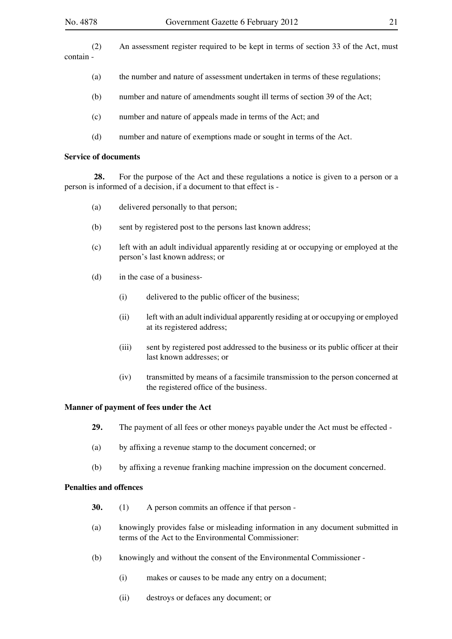(2) An assessment register required to be kept in terms of section 33 of the Act, must contain -

- (a) the number and nature of assessment undertaken in terms of these regulations;
- (b) number and nature of amendments sought ill terms of section 39 of the Act;
- (c) number and nature of appeals made in terms of the Act; and
- (d) number and nature of exemptions made or sought in terms of the Act.

#### **Service of documents**

**28.** For the purpose of the Act and these regulations a notice is given to a person or a person is informed of a decision, if a document to that effect is -

- (a) delivered personally to that person;
- (b) sent by registered post to the persons last known address;
- (c) left with an adult individual apparently residing at or occupying or employed at the person's last known address; or
- (d) in the case of a business-
	- (i) delivered to the public officer of the business;
	- (ii) left with an adult individual apparently residing at or occupying or employed at its registered address;
	- (iii) sent by registered post addressed to the business or its public officer at their last known addresses; or
	- (iv) transmitted by means of a facsimile transmission to the person concerned at the registered office of the business.

#### **Manner of payment of fees under the Act**

- **29.** The payment of all fees or other moneys payable under the Act must be effected -
- (a) by affixing a revenue stamp to the document concerned; or
- (b) by affixing a revenue franking machine impression on the document concerned.

#### **Penalties and offences**

- **30.** (1) A person commits an offence if that person -
- (a) knowingly provides false or misleading information in any document submitted in terms of the Act to the Environmental Commissioner:
- (b) knowingly and without the consent of the Environmental Commissioner
	- (i) makes or causes to be made any entry on a document;
	- (ii) destroys or defaces any document; or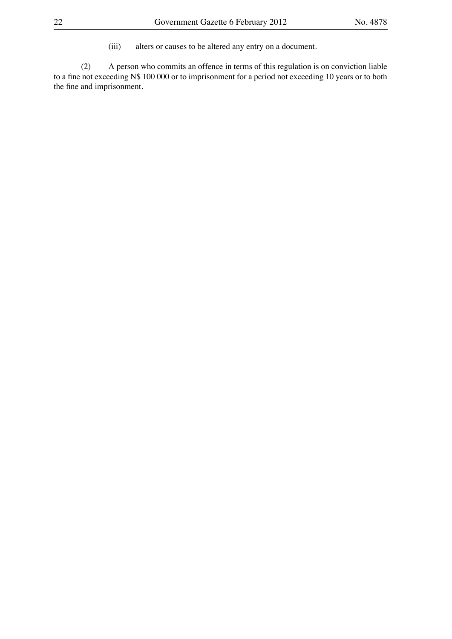(iii) alters or causes to be altered any entry on a document.

(2) A person who commits an offence in terms of this regulation is on conviction liable to a fine not exceeding N\$ 100 000 or to imprisonment for a period not exceeding 10 years or to both the fine and imprisonment.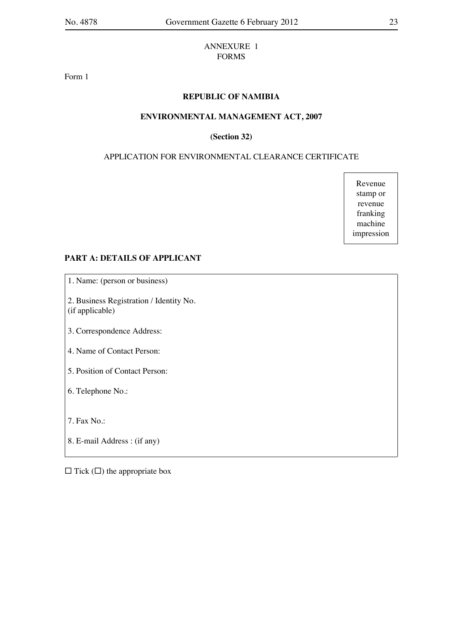#### ANNEXURE 1 FORMS

Form 1

# **REPUBLIC OF NAMIBIA**

#### **ENVIRONMENTAL MANAGEMENT ACT, 2007**

#### **(Section 32)**

# APPLICATION FOR ENVIRONMENTAL CLEARANCE CERTIFICATE

Revenue stamp or revenue franking machine impression

#### **PART A: DETAILS OF APPLICANT**

1. Name: (person or business)

2. Business Registration / Identity No. (if applicable)

- 3. Correspondence Address:
- 4. Name of Contact Person:

5. Position of Contact Person:

6. Telephone No.:

7. Fax No.:

8. E-mail Address : (if any)

 $\Box$  Tick  $(\Box)$  the appropriate box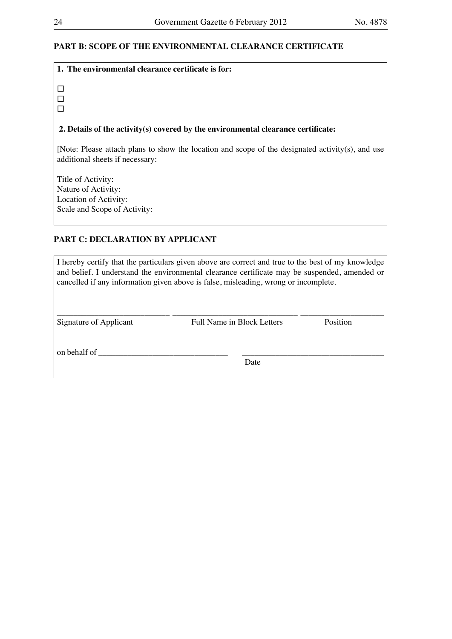# **PART B: SCOPE OF THE ENVIRONMENTAL CLEARANCE CERTIFICATE**

| 1. The environmental clearance certificate is for:                                                                                  |
|-------------------------------------------------------------------------------------------------------------------------------------|
|                                                                                                                                     |
| 2. Details of the activity(s) covered by the environmental clearance certificate:                                                   |
| [Note: Please attach plans to show the location and scope of the designated activity(s), and use<br>additional sheets if necessary: |
| Title of Activity:                                                                                                                  |
| Nature of Activity:                                                                                                                 |
| Location of Activity:                                                                                                               |
|                                                                                                                                     |

Scale and Scope of Activity:

# **PART C: DECLARATION BY APPLICANT**

| I hereby certify that the particulars given above are correct and true to the best of my knowledge<br>and belief. I understand the environmental clearance certificate may be suspended, amended or<br>cancelled if any information given above is false, misleading, wrong or incomplete. |                            |          |  |  |  |
|--------------------------------------------------------------------------------------------------------------------------------------------------------------------------------------------------------------------------------------------------------------------------------------------|----------------------------|----------|--|--|--|
| Signature of Applicant                                                                                                                                                                                                                                                                     | Full Name in Block Letters | Position |  |  |  |
| on behalf of                                                                                                                                                                                                                                                                               | Date                       |          |  |  |  |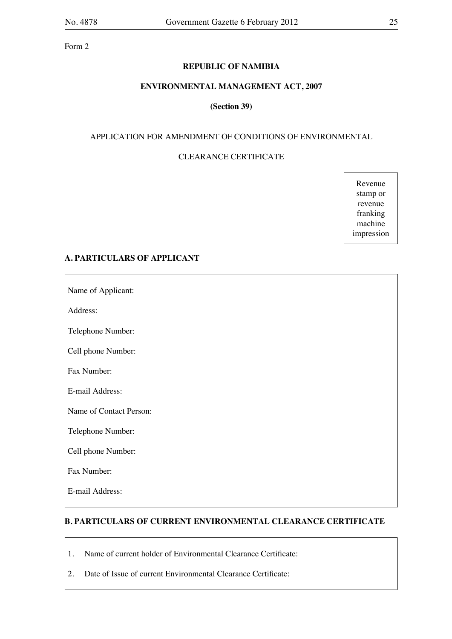Form 2

#### **REPUBLIC OF NAMIBIA**

#### **ENVIRONMENTAL MANAGEMENT ACT, 2007**

#### **(Section 39)**

#### APPLICATION FOR AMENDMENT OF CONDITIONS OF ENVIRONMENTAL

# CLEARANCE CERTIFICATE

Revenue stamp or revenue franking machine impression

#### **A. PARTICULARS OF APPLICANT**

Name of Applicant:

Address:

Telephone Number:

Cell phone Number:

Fax Number:

E-mail Address:

Name of Contact Person:

Telephone Number:

Cell phone Number:

Fax Number:

E-mail Address:

### **B. PARTICULARS OF CURRENT ENVIRONMENTAL CLEARANCE CERTIFICATE**

- 1. Name of current holder of Environmental Clearance Certificate:
- 2. Date of Issue of current Environmental Clearance Certificate: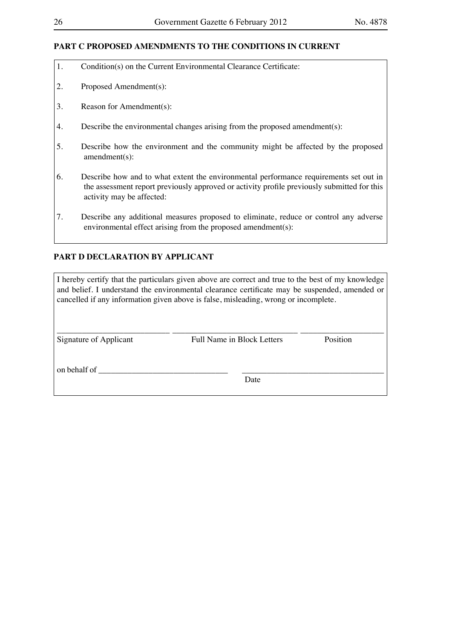#### **PART C PROPOSED AMENDMENTS TO THE CONDITIONS IN CURRENT**

- 1. Condition(s) on the Current Environmental Clearance Certificate:
- 2. Proposed Amendment(s):
- 3. Reason for Amendment(s):
- 4. Describe the environmental changes arising from the proposed amendment(s):
- 5. Describe how the environment and the community might be affected by the proposed amendment(s):
- 6. Describe how and to what extent the environmental performance requirements set out in the assessment report previously approved or activity profile previously submitted for this activity may be affected:
- 7. Describe any additional measures proposed to eliminate, reduce or control any adverse environmental effect arising from the proposed amendment(s):

# **PART D DECLARATION BY APPLICANT**

I hereby certify that the particulars given above are correct and true to the best of my knowledge and belief. I understand the environmental clearance certificate may be suspended, amended or cancelled if any information given above is false, misleading, wrong or incomplete.

\_\_\_\_\_\_\_\_\_\_\_\_\_\_\_\_\_\_\_\_\_\_\_\_\_\_\_ \_\_\_\_\_\_\_\_\_\_\_\_\_\_\_\_\_\_\_\_\_\_\_\_\_\_\_\_\_\_ \_\_\_\_\_\_\_\_\_\_\_\_\_\_\_\_\_\_\_\_ Signature of Applicant Full Name in Block Letters Position

on behalf of

**Date Date**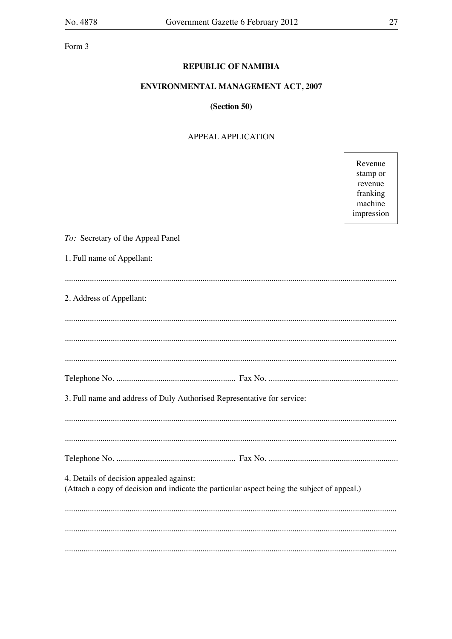Form 3

# **REPUBLIC OF NAMIBIA**

# ENVIRONMENTAL MANAGEMENT ACT, 2007

# (Section 50)

#### **APPEAL APPLICATION**

Revenue stamp or revenue franking machine impression

| To: Secretary of the Appeal Panel                                                                                                       |  |  |  |  |
|-----------------------------------------------------------------------------------------------------------------------------------------|--|--|--|--|
| 1. Full name of Appellant:                                                                                                              |  |  |  |  |
|                                                                                                                                         |  |  |  |  |
| 2. Address of Appellant:                                                                                                                |  |  |  |  |
|                                                                                                                                         |  |  |  |  |
|                                                                                                                                         |  |  |  |  |
|                                                                                                                                         |  |  |  |  |
|                                                                                                                                         |  |  |  |  |
| 3. Full name and address of Duly Authorised Representative for service:                                                                 |  |  |  |  |
|                                                                                                                                         |  |  |  |  |
|                                                                                                                                         |  |  |  |  |
|                                                                                                                                         |  |  |  |  |
|                                                                                                                                         |  |  |  |  |
| 4. Details of decision appealed against:<br>(Attach a copy of decision and indicate the particular aspect being the subject of appeal.) |  |  |  |  |
|                                                                                                                                         |  |  |  |  |
|                                                                                                                                         |  |  |  |  |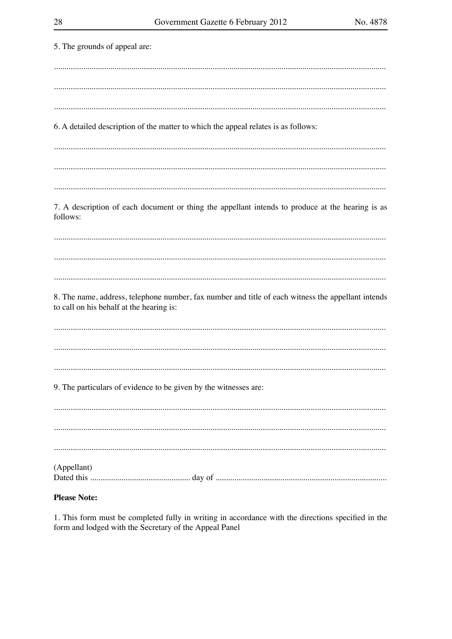| 5. The grounds of appeal are:                                                                                                                  |
|------------------------------------------------------------------------------------------------------------------------------------------------|
|                                                                                                                                                |
|                                                                                                                                                |
| 6. A detailed description of the matter to which the appeal relates is as follows:                                                             |
|                                                                                                                                                |
|                                                                                                                                                |
| 7. A description of each document or thing the appellant intends to produce at the hearing is as<br>follows:                                   |
|                                                                                                                                                |
|                                                                                                                                                |
| 8. The name, address, telephone number, fax number and title of each witness the appellant intends<br>to call on his behalf at the hearing is: |
|                                                                                                                                                |
|                                                                                                                                                |
|                                                                                                                                                |
| 9. The particulars of evidence to be given by the witnesses are:                                                                               |
|                                                                                                                                                |
|                                                                                                                                                |
| (Appellant)                                                                                                                                    |
|                                                                                                                                                |

# **Please Note:**

1. This form must be completed fully in writing in accordance with the directions specified in the form and lodged with the Secretary of the Appeal Panel